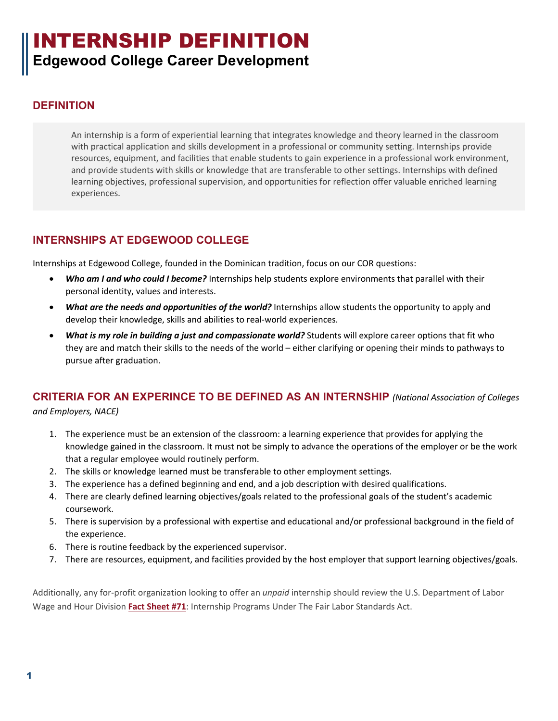# INTERNSHIP DEFINITION **Edgewood College Career Development**

### **DEFINITION**

An internship is a form of experiential learning that integrates knowledge and theory learned in the classroom with practical application and skills development in a professional or community setting. Internships provide resources, equipment, and facilities that enable students to gain experience in a professional work environment, and provide students with skills or knowledge that are transferable to other settings. Internships with defined learning objectives, professional supervision, and opportunities for reflection offer valuable enriched learning experiences.

# **INTERNSHIPS AT EDGEWOOD COLLEGE**

Internships at Edgewood College, founded in the Dominican tradition, focus on our COR questions:

- *Who am I and who could I become?* Internships help students explore environments that parallel with their personal identity, values and interests.
- *What are the needs and opportunities of the world?* Internships allow students the opportunity to apply and develop their knowledge, skills and abilities to real-world experiences.
- *What is my role in building a just and compassionate world?* Students will explore career options that fit who they are and match their skills to the needs of the world – either clarifying or opening their minds to pathways to pursue after graduation.

# **CRITERIA FOR AN EXPERINCE TO BE DEFINED AS AN INTERNSHIP** *(National Association of Colleges*

*and Employers, NACE)*

- 1. The experience must be an extension of the classroom: a learning experience that provides for applying the knowledge gained in the classroom. It must not be simply to advance the operations of the employer or be the work that a regular employee would routinely perform.
- 2. The skills or knowledge learned must be transferable to other employment settings.
- 3. The experience has a defined beginning and end, and a job description with desired qualifications.
- 4. There are clearly defined learning objectives/goals related to the professional goals of the student's academic coursework.
- 5. There is supervision by a professional with expertise and educational and/or professional background in the field of the experience.
- 6. There is routine feedback by the experienced supervisor.
- 7. There are resources, equipment, and facilities provided by the host employer that support learning objectives/goals.

Additionally, any for-profit organization looking to offer an *unpaid* internship should review the U.S. Department of Labor Wage and Hour Division **[Fact Sheet #71](https://www.dol.gov/whd/regs/compliance/whdfs71.pdf)**[:](https://www.dol.gov/whd/regs/compliance/whdfs71.pdf) Internship Programs Under The Fair Labor Standards Act.